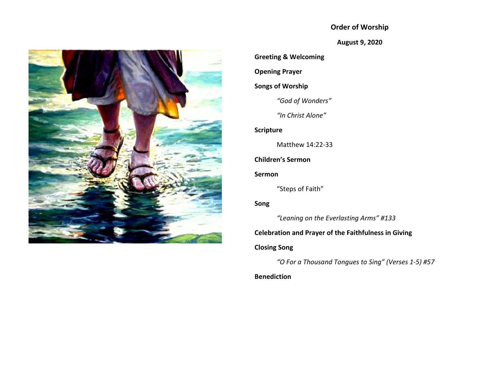## **Order of Worship**

**August 9, 2020**



**Greeting & Welcoming**

**Opening Prayer**

## **Songs of Worship**

*"God of Wonders"*

*"In Christ Alone"*

## **Scripture**

Matthew 14:22-33

# **Children's Sermon**

### **Sermon**

"Steps of Faith"

## **Song**

*"Leaning on the Everlasting Arms" #133*

### **Celebration and Prayer of the Faithfulness in Giving**

### **Closing Song**

*"O For a Thousand Tongues to Sing" (Verses 1-5) #57*

## **Benediction**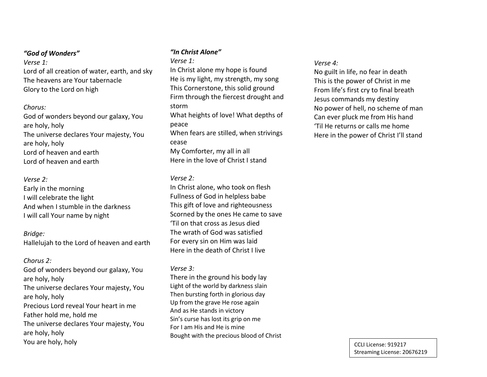### *"God of Wonders"*

*Verse 1:* Lord of all creation of water, earth, and sky The heavens are Your tabernacle Glory to the Lord on high

#### *Chorus:*

God of wonders beyond our galaxy, You are holy, holy The universe declares Your majesty, You are holy, holy Lord of heaven and earth Lord of heaven and earth

#### *Verse 2:*

Early in the morning I will celebrate the light And when I stumble in the darkness I will call Your name by night

#### *Bridge:*

Hallelujah to the Lord of heaven and earth

#### *Chorus 2:*

God of wonders beyond our galaxy, You are holy, holy The universe declares Your majesty, You are holy, holy Precious Lord reveal Your heart in me Father hold me, hold me The universe declares Your majesty, You are holy, holy You are holy, holy

### *"In Christ Alone"*

*Verse 1:* In Christ alone my hope is found He is my light, my strength, my song This Cornerstone, this solid ground Firm through the fiercest drought and storm What heights of love! What depths of peace When fears are stilled, when strivings cease My Comforter, my all in all Here in the love of Christ I stand

#### *Verse 2:*

In Christ alone, who took on flesh Fullness of God in helpless babe This gift of love and righteousness Scorned by the ones He came to save 'Til on that cross as Jesus died The wrath of God was satisfied For every sin on Him was laid Here in the death of Christ I live

#### *Verse 3:*

There in the ground his body lay Light of the world by darkness slain Then bursting forth in glorious day Up from the grave He rose again And as He stands in victory Sin's curse has lost its grip on me For I am His and He is mine Bought with the precious blood of Christ

#### *Verse 4:*

No guilt in life, no fear in death This is the power of Christ in me From life's first cry to final breath Jesus commands my destiny No power of hell, no scheme of man Can ever pluck me from His hand 'Til He returns or calls me home Here in the power of Christ I'll stand